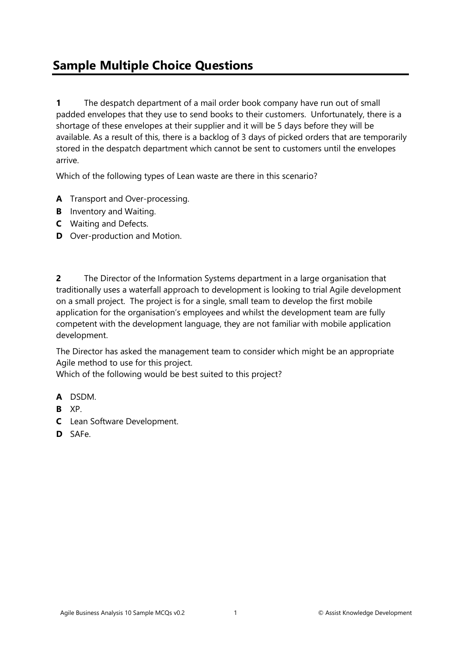## **Sample Multiple Choice Questions**

**1** The despatch department of a mail order book company have run out of small padded envelopes that they use to send books to their customers. Unfortunately, there is a shortage of these envelopes at their supplier and it will be 5 days before they will be available. As a result of this, there is a backlog of 3 days of picked orders that are temporarily stored in the despatch department which cannot be sent to customers until the envelopes arrive.

Which of the following types of Lean waste are there in this scenario?

- **A** Transport and Over-processing.
- **B** Inventory and Waiting.
- **C** Waiting and Defects.
- **D** Over-production and Motion.

**2** The Director of the Information Systems department in a large organisation that traditionally uses a waterfall approach to development is looking to trial Agile development on a small project. The project is for a single, small team to develop the first mobile application for the organisation's employees and whilst the development team are fully competent with the development language, they are not familiar with mobile application development.

The Director has asked the management team to consider which might be an appropriate Agile method to use for this project.

Which of the following would be best suited to this project?

- **A** DSDM.
- **B** XP.
- **C** Lean Software Development.
- **D** SAFe.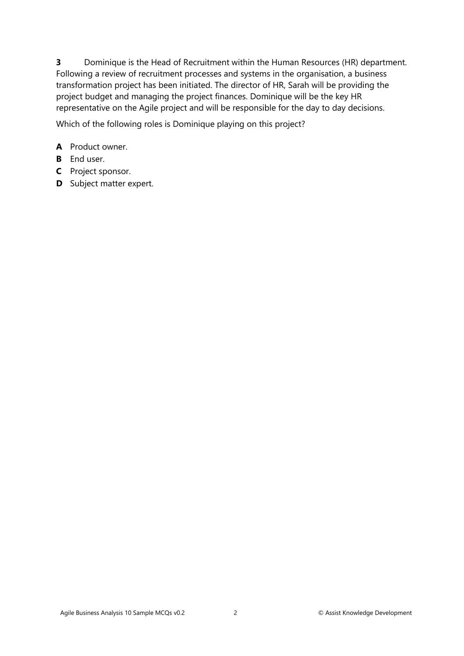**3** Dominique is the Head of Recruitment within the Human Resources (HR) department. Following a review of recruitment processes and systems in the organisation, a business transformation project has been initiated. The director of HR, Sarah will be providing the project budget and managing the project finances. Dominique will be the key HR representative on the Agile project and will be responsible for the day to day decisions.

Which of the following roles is Dominique playing on this project?

## **A** Product owner.

- **B** End user.
- **C** Project sponsor.
- **D** Subject matter expert.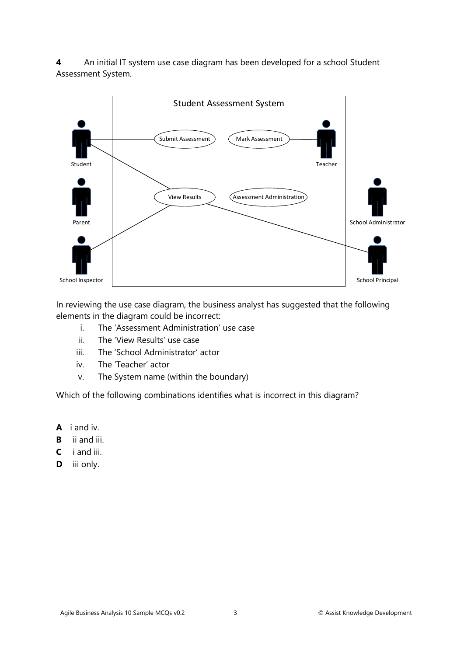**4** An initial IT system use case diagram has been developed for a school Student Assessment System.



In reviewing the use case diagram, the business analyst has suggested that the following elements in the diagram could be incorrect:

- i. The 'Assessment Administration' use case
- ii. The 'View Results' use case
- iii. The 'School Administrator' actor
- iv. The 'Teacher' actor
- v. The System name (within the boundary)

Which of the following combinations identifies what is incorrect in this diagram?

- **A** i and iv.
- **B** ii and iii.
- **C** i and iii.
- **D** iii only.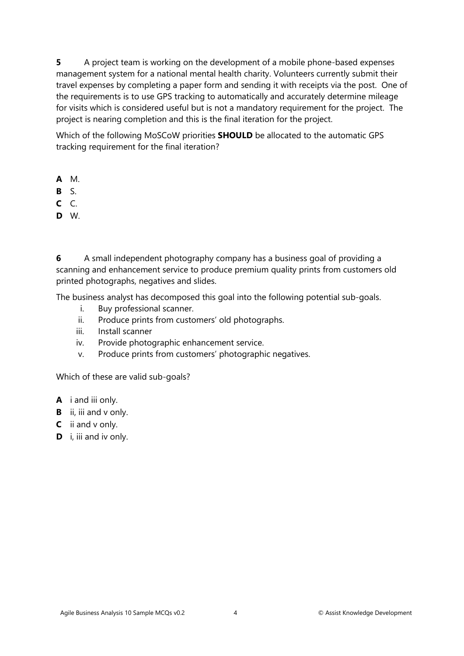**5** A project team is working on the development of a mobile phone-based expenses management system for a national mental health charity. Volunteers currently submit their travel expenses by completing a paper form and sending it with receipts via the post. One of the requirements is to use GPS tracking to automatically and accurately determine mileage for visits which is considered useful but is not a mandatory requirement for the project. The project is nearing completion and this is the final iteration for the project.

Which of the following MoSCoW priorities **SHOULD** be allocated to the automatic GPS tracking requirement for the final iteration?

- **A** M.
- **B** S.
- **C** C.
- **D** W.

**6** A small independent photography company has a business goal of providing a scanning and enhancement service to produce premium quality prints from customers old printed photographs, negatives and slides.

The business analyst has decomposed this goal into the following potential sub-goals.

- i. Buy professional scanner.
- ii. Produce prints from customers' old photographs.
- iii. Install scanner
- iv. Provide photographic enhancement service.
- v. Produce prints from customers' photographic negatives.

Which of these are valid sub-goals?

- **A** i and iii only.
- **B** ii, iii and v only.
- **C** ii and v only.
- **D** i, iii and iv only.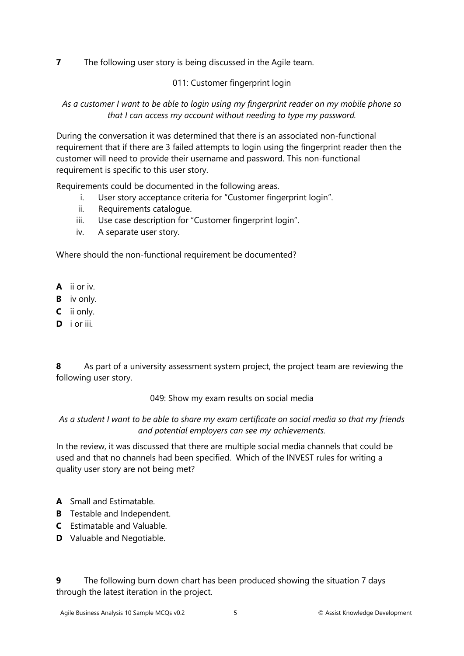**7** The following user story is being discussed in the Agile team.

011: Customer fingerprint login

*As a customer I want to be able to login using my fingerprint reader on my mobile phone so that I can access my account without needing to type my password.*

During the conversation it was determined that there is an associated non-functional requirement that if there are 3 failed attempts to login using the fingerprint reader then the customer will need to provide their username and password. This non-functional requirement is specific to this user story.

Requirements could be documented in the following areas.

- i. User story acceptance criteria for "Customer fingerprint login".
- ii. Requirements catalogue.
- iii. Use case description for "Customer fingerprint login".
- iv. A separate user story.

Where should the non-functional requirement be documented?

- **A** ii or iv.
- **B** iv only.
- **C** ii only.
- **D** i or iii.

**8** As part of a university assessment system project, the project team are reviewing the following user story.

049: Show my exam results on social media

## *As a student I want to be able to share my exam certificate on social media so that my friends and potential employers can see my achievements.*

In the review, it was discussed that there are multiple social media channels that could be used and that no channels had been specified. Which of the INVEST rules for writing a quality user story are not being met?

- **A** Small and Estimatable.
- **B** Testable and Independent.
- **C** Estimatable and Valuable.
- **D** Valuable and Negotiable.

**9** The following burn down chart has been produced showing the situation 7 days through the latest iteration in the project.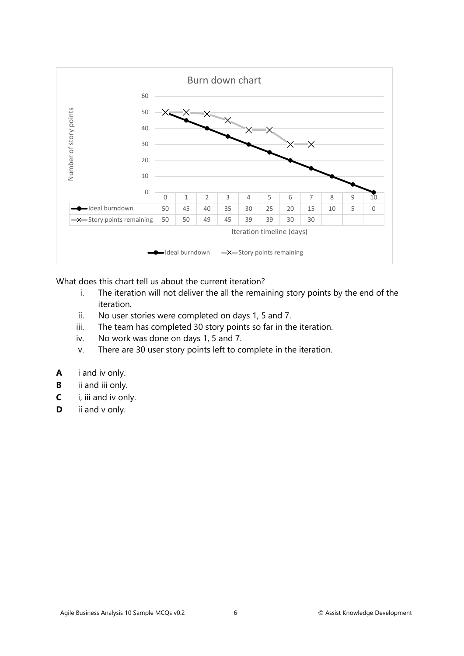

What does this chart tell us about the current iteration?

- i. The iteration will not deliver the all the remaining story points by the end of the iteration.
- ii. No user stories were completed on days 1, 5 and 7.
- iii. The team has completed 30 story points so far in the iteration.
- iv. No work was done on days 1, 5 and 7.
- v. There are 30 user story points left to complete in the iteration.
- **A** i and iv only.
- **B** ii and iii only.
- **C** i, iii and iv only.
- **D** ii and v only.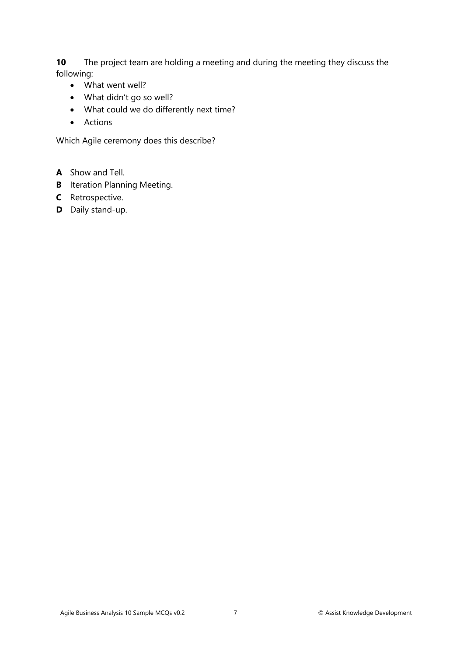**10** The project team are holding a meeting and during the meeting they discuss the following:

- What went well?
- What didn't go so well?
- What could we do differently next time?
- Actions

Which Agile ceremony does this describe?

- **A** Show and Tell.
- **B** Iteration Planning Meeting.
- **C** Retrospective.
- **D** Daily stand-up.